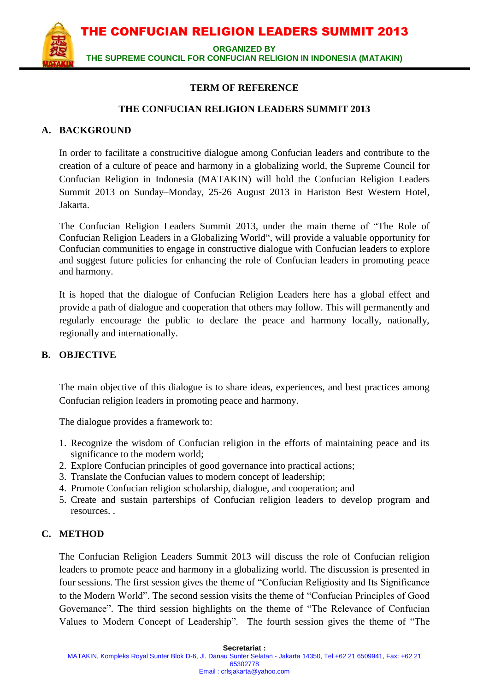**ORGANIZED BY** 

**THE SUPREME COUNCIL FOR CONFUCIAN RELIGION IN INDONESIA (MATAKIN)**

#### **TERM OF REFERENCE**

#### **THE CONFUCIAN RELIGION LEADERS SUMMIT 2013**

## **A. BACKGROUND**

In order to facilitate a construcitive dialogue among Confucian leaders and contribute to the creation of a culture of peace and harmony in a globalizing world, the Supreme Council for Confucian Religion in Indonesia (MATAKIN) will hold the Confucian Religion Leaders Summit 2013 on Sunday–Monday, 25-26 August 2013 in Hariston Best Western Hotel, Jakarta.

The Confucian Religion Leaders Summit 2013, under the main theme of "The Role of Confucian Religion Leaders in a Globalizing World", will provide a valuable opportunity for Confucian communities to engage in constructive dialogue with Confucian leaders to explore and suggest future policies for enhancing the role of Confucian leaders in promoting peace and harmony.

It is hoped that the dialogue of Confucian Religion Leaders here has a global effect and provide a path of dialogue and cooperation that others may follow. This will permanently and regularly encourage the public to declare the peace and harmony locally, nationally, regionally and internationally.

#### **B. OBJECTIVE**

The main objective of this dialogue is to share ideas, experiences, and best practices among Confucian religion leaders in promoting peace and harmony.

The dialogue provides a framework to:

- 1. Recognize the wisdom of Confucian religion in the efforts of maintaining peace and its significance to the modern world;
- 2. Explore Confucian principles of good governance into practical actions;
- 3. Translate the Confucian values to modern concept of leadership;
- 4. Promote Confucian religion scholarship, dialogue, and cooperation; and
- 5. Create and sustain parterships of Confucian religion leaders to develop program and resources. .

#### **C. METHOD**

The Confucian Religion Leaders Summit 2013 will discuss the role of Confucian religion leaders to promote peace and harmony in a globalizing world. The discussion is presented in four sessions. The first session gives the theme of "Confucian Religiosity and Its Significance to the Modern World". The second session visits the theme of "Confucian Principles of Good Governance". The third session highlights on the theme of "The Relevance of Confucian Values to Modern Concept of Leadership". The fourth session gives the theme of "The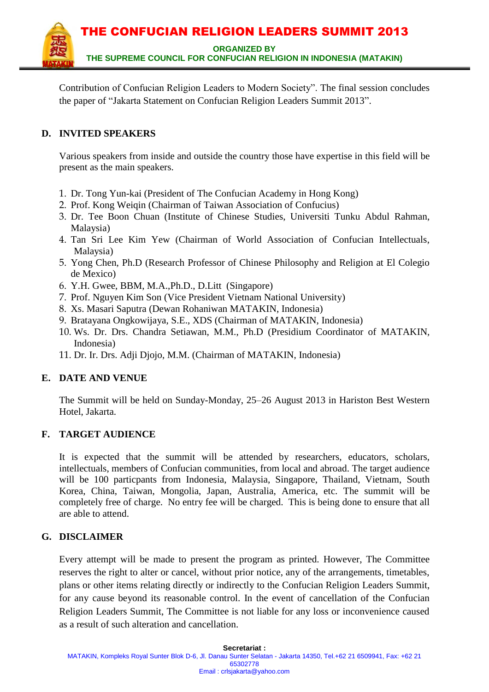

Contribution of Confucian Religion Leaders to Modern Society". The final session concludes the paper of "Jakarta Statement on Confucian Religion Leaders Summit 2013".

# **D. INVITED SPEAKERS**

Various speakers from inside and outside the country those have expertise in this field will be present as the main speakers.

- 1. Dr. Tong Yun-kai (President of The Confucian Academy in Hong Kong)
- 2. Prof. Kong Weiqin (Chairman of Taiwan Association of Confucius)
- 3. Dr. Tee Boon Chuan (Institute of Chinese Studies, Universiti Tunku Abdul Rahman, Malaysia)
- 4. Tan Sri Lee Kim Yew (Chairman of World Association of Confucian Intellectuals, Malaysia)
- 5. Yong Chen, Ph.D (Research Professor of Chinese Philosophy and Religion at El Colegio de Mexico)
- 6. Y.H. Gwee, BBM, M.A.,Ph.D., D.Litt (Singapore)
- 7. Prof. Nguyen Kim Son (Vice President Vietnam National University)
- 8. Xs. Masari Saputra (Dewan Rohaniwan MATAKIN, Indonesia)
- 9. Bratayana Ongkowijaya, S.E., XDS (Chairman of MATAKIN, Indonesia)
- 10. Ws. Dr. Drs. Chandra Setiawan, M.M., Ph.D (Presidium Coordinator of MATAKIN, Indonesia)
- 11. Dr. Ir. Drs. Adji Djojo, M.M. (Chairman of MATAKIN, Indonesia)

# **E. DATE AND VENUE**

The Summit will be held on Sunday-Monday, 25–26 August 2013 in Hariston Best Western Hotel, Jakarta.

# **F. TARGET AUDIENCE**

It is expected that the summit will be attended by researchers, educators, scholars, intellectuals, members of Confucian communities, from local and abroad. The target audience will be 100 particpants from Indonesia, Malaysia, Singapore, Thailand, Vietnam, South Korea, China, Taiwan, Mongolia, Japan, Australia, America, etc. The summit will be completely free of charge. No entry fee will be charged. This is being done to ensure that all are able to attend.

#### **G. DISCLAIMER**

Every attempt will be made to present the program as printed. However, The Committee reserves the right to alter or cancel, without prior notice, any of the arrangements, timetables, plans or other items relating directly or indirectly to the Confucian Religion Leaders Summit, for any cause beyond its reasonable control. In the event of cancellation of the Confucian Religion Leaders Summit, The Committee is not liable for any loss or inconvenience caused as a result of such alteration and cancellation.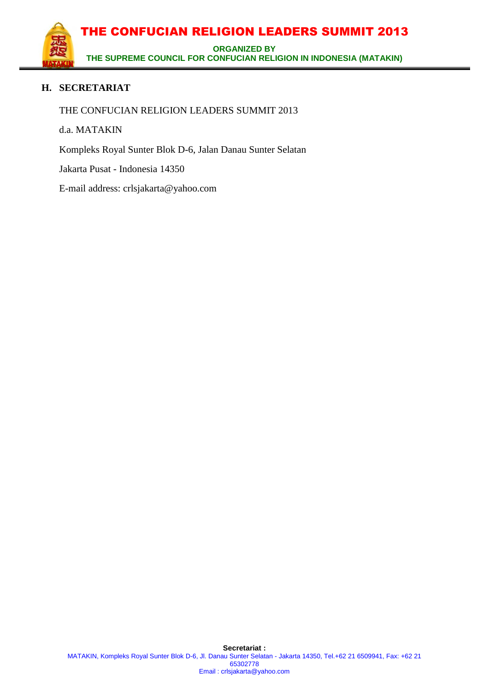

# **H. SECRETARIAT**

THE CONFUCIAN RELIGION LEADERS SUMMIT 2013

d.a. MATAKIN

Kompleks Royal Sunter Blok D-6, Jalan Danau Sunter Selatan

Jakarta Pusat - Indonesia 14350

E-mail address: crlsjakarta@yahoo.com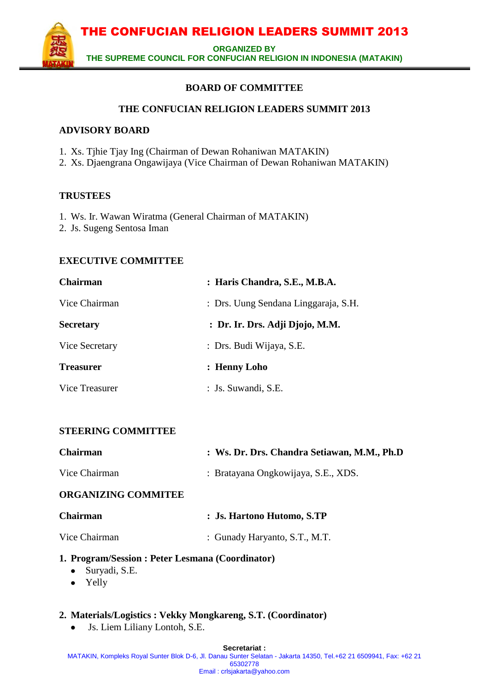**ORGANIZED BY** 

**THE SUPREME COUNCIL FOR CONFUCIAN RELIGION IN INDONESIA (MATAKIN)**

# **BOARD OF COMMITTEE**

#### **THE CONFUCIAN RELIGION LEADERS SUMMIT 2013**

#### **ADVISORY BOARD**

- 1. Xs. Tjhie Tjay Ing (Chairman of Dewan Rohaniwan MATAKIN)
- 2. Xs. Djaengrana Ongawijaya (Vice Chairman of Dewan Rohaniwan MATAKIN)

#### **TRUSTEES**

- 1. Ws. Ir. Wawan Wiratma (General Chairman of MATAKIN)
- 2. Js. Sugeng Sentosa Iman

## **EXECUTIVE COMMITTEE**

| Chairman         | : Haris Chandra, S.E., M.B.A.        |
|------------------|--------------------------------------|
| Vice Chairman    | : Drs. Uung Sendana Linggaraja, S.H. |
| <b>Secretary</b> | : Dr. Ir. Drs. Adji Djojo, M.M.      |
| Vice Secretary   | : Drs. Budi Wijaya, S.E.             |
| <b>Treasurer</b> | : Henny Loho                         |
| Vice Treasurer   | : Js. Suwandi, S.E.                  |

# **STEERING COMMITTEE**

| <b>Chairman</b>            | : Ws. Dr. Drs. Chandra Setiawan, M.M., Ph.D |
|----------------------------|---------------------------------------------|
| Vice Chairman              | : Bratayana Ongkowijaya, S.E., XDS.         |
| <b>ORGANIZING COMMITEE</b> |                                             |
| <b>Chairman</b>            | : Js. Hartono Hutomo, S.TP                  |
| Vice Chairman              | : Gunady Haryanto, S.T., M.T.               |

#### **1. Program/Session : Peter Lesmana (Coordinator)**

- Suryadi, S.E.  $\bullet$
- Yelly

#### **2. Materials/Logistics : Vekky Mongkareng, S.T. (Coordinator)**

Js. Liem Liliany Lontoh, S.E. $\bullet$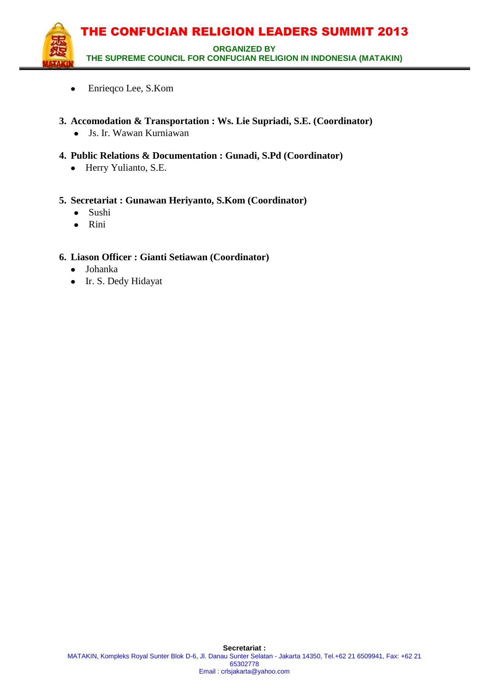

- Enrieqco Lee, S.Kom  $\bullet$
- **3. Accomodation & Transportation : Ws. Lie Supriadi, S.E. (Coordinator)**
	- Js. Ir. Wawan Kurniawan
- **4. Public Relations & Documentation : Gunadi, S.Pd (Coordinator)**
	- Herry Yulianto, S.E.

## **5. Secretariat : Gunawan Heriyanto, S.Kom (Coordinator)**

- Sushi  $\bullet$
- $\bullet$ Rini

## **6. Liason Officer : Gianti Setiawan (Coordinator)**

- Johanka
- Ir. S. Dedy Hidayat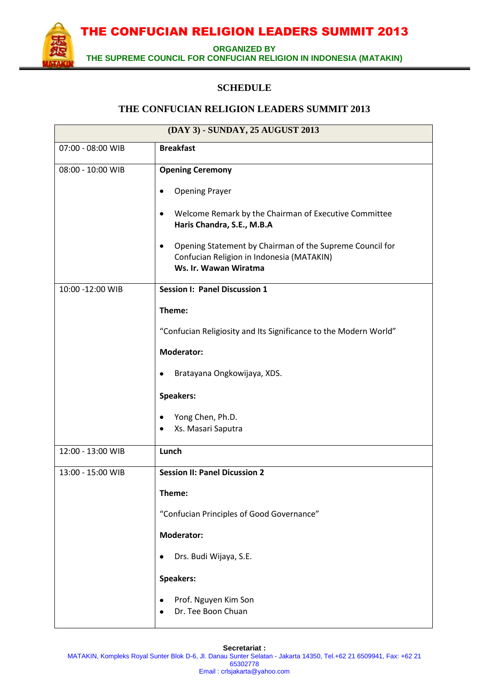**ORGANIZED BY** 

**THE SUPREME COUNCIL FOR CONFUCIAN RELIGION IN INDONESIA (MATAKIN)**

## **SCHEDULE**

#### **THE CONFUCIAN RELIGION LEADERS SUMMIT 2013**

| (DAY 3) - SUNDAY, 25 AUGUST 2013 |                                                                                                                                                                                                                                           |  |
|----------------------------------|-------------------------------------------------------------------------------------------------------------------------------------------------------------------------------------------------------------------------------------------|--|
| 07:00 - 08:00 WIB                | <b>Breakfast</b>                                                                                                                                                                                                                          |  |
| 08:00 - 10:00 WIB                | <b>Opening Ceremony</b><br><b>Opening Prayer</b><br>Welcome Remark by the Chairman of Executive Committee<br>٠<br>Haris Chandra, S.E., M.B.A<br>Opening Statement by Chairman of the Supreme Council for<br>٠                             |  |
|                                  | Confucian Religion in Indonesia (MATAKIN)<br>Ws. Ir. Wawan Wiratma                                                                                                                                                                        |  |
| 10:00 -12:00 WIB                 | <b>Session I: Panel Discussion 1</b><br>Theme:<br>"Confucian Religiosity and Its Significance to the Modern World"<br><b>Moderator:</b><br>Bratayana Ongkowijaya, XDS.<br><b>Speakers:</b><br>Yong Chen, Ph.D.<br>Xs. Masari Saputra<br>٠ |  |
| 12:00 - 13:00 WIB                | Lunch                                                                                                                                                                                                                                     |  |
| 13:00 - 15:00 WIB                | <b>Session II: Panel Dicussion 2</b><br>Theme:<br>"Confucian Principles of Good Governance"<br><b>Moderator:</b><br>Drs. Budi Wijaya, S.E.<br>Speakers:<br>Prof. Nguyen Kim Son<br>Dr. Tee Boon Chuan                                     |  |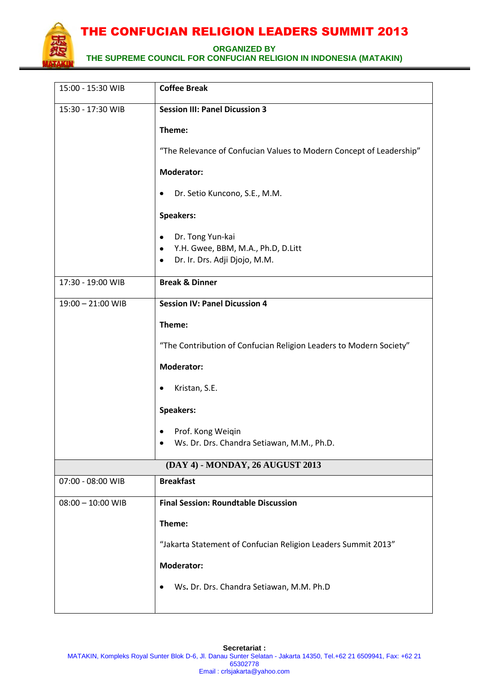

**ORGANIZED BY** 

**THE SUPREME COUNCIL FOR CONFUCIAN RELIGION IN INDONESIA (MATAKIN)**

| 15:00 - 15:30 WIB                | <b>Coffee Break</b>                                                 |  |
|----------------------------------|---------------------------------------------------------------------|--|
| 15:30 - 17:30 WIB                | <b>Session III: Panel Dicussion 3</b>                               |  |
|                                  | Theme:                                                              |  |
|                                  | "The Relevance of Confucian Values to Modern Concept of Leadership" |  |
|                                  | <b>Moderator:</b>                                                   |  |
|                                  | Dr. Setio Kuncono, S.E., M.M.<br>٠                                  |  |
|                                  | Speakers:                                                           |  |
|                                  | Dr. Tong Yun-kai<br>٠                                               |  |
|                                  | Y.H. Gwee, BBM, M.A., Ph.D, D.Litt<br>٠                             |  |
|                                  | Dr. Ir. Drs. Adji Djojo, M.M.<br>٠                                  |  |
| 17:30 - 19:00 WIB                | <b>Break &amp; Dinner</b>                                           |  |
| 19:00 - 21:00 WIB                | <b>Session IV: Panel Dicussion 4</b>                                |  |
|                                  | Theme:                                                              |  |
|                                  | "The Contribution of Confucian Religion Leaders to Modern Society"  |  |
|                                  | <b>Moderator:</b>                                                   |  |
|                                  | Kristan, S.E.                                                       |  |
|                                  | Speakers:                                                           |  |
|                                  | Prof. Kong Weiqin                                                   |  |
|                                  | Ws. Dr. Drs. Chandra Setiawan, M.M., Ph.D.                          |  |
| (DAY 4) - MONDAY, 26 AUGUST 2013 |                                                                     |  |
| 07:00 - 08:00 WIB                | <b>Breakfast</b>                                                    |  |
| $08:00 - 10:00$ WIB              | <b>Final Session: Roundtable Discussion</b>                         |  |
|                                  | Theme:                                                              |  |
|                                  | "Jakarta Statement of Confucian Religion Leaders Summit 2013"       |  |
|                                  | <b>Moderator:</b>                                                   |  |
|                                  | Ws. Dr. Drs. Chandra Setiawan, M.M. Ph.D                            |  |
|                                  |                                                                     |  |